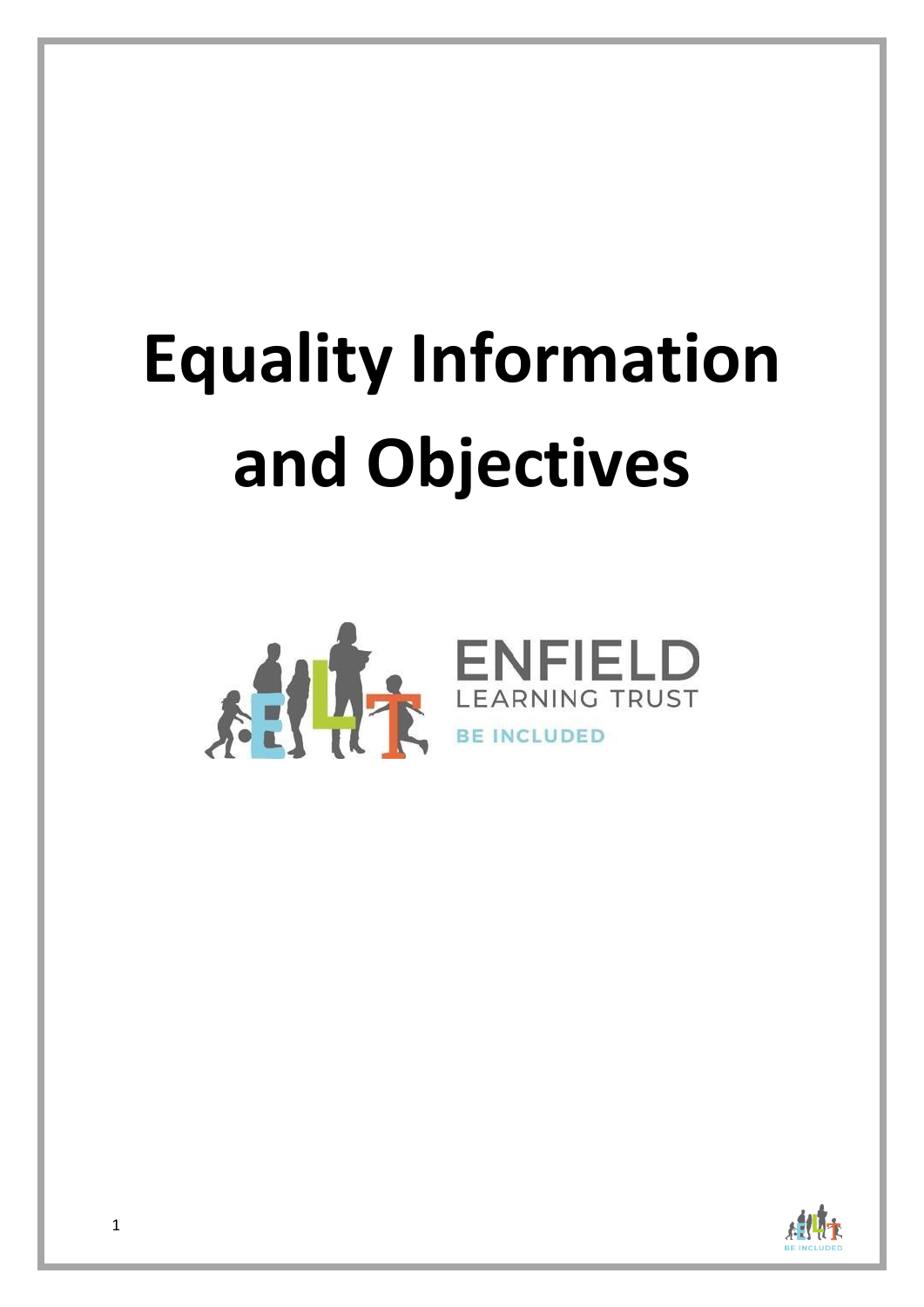# **Equality Information and Objectives**



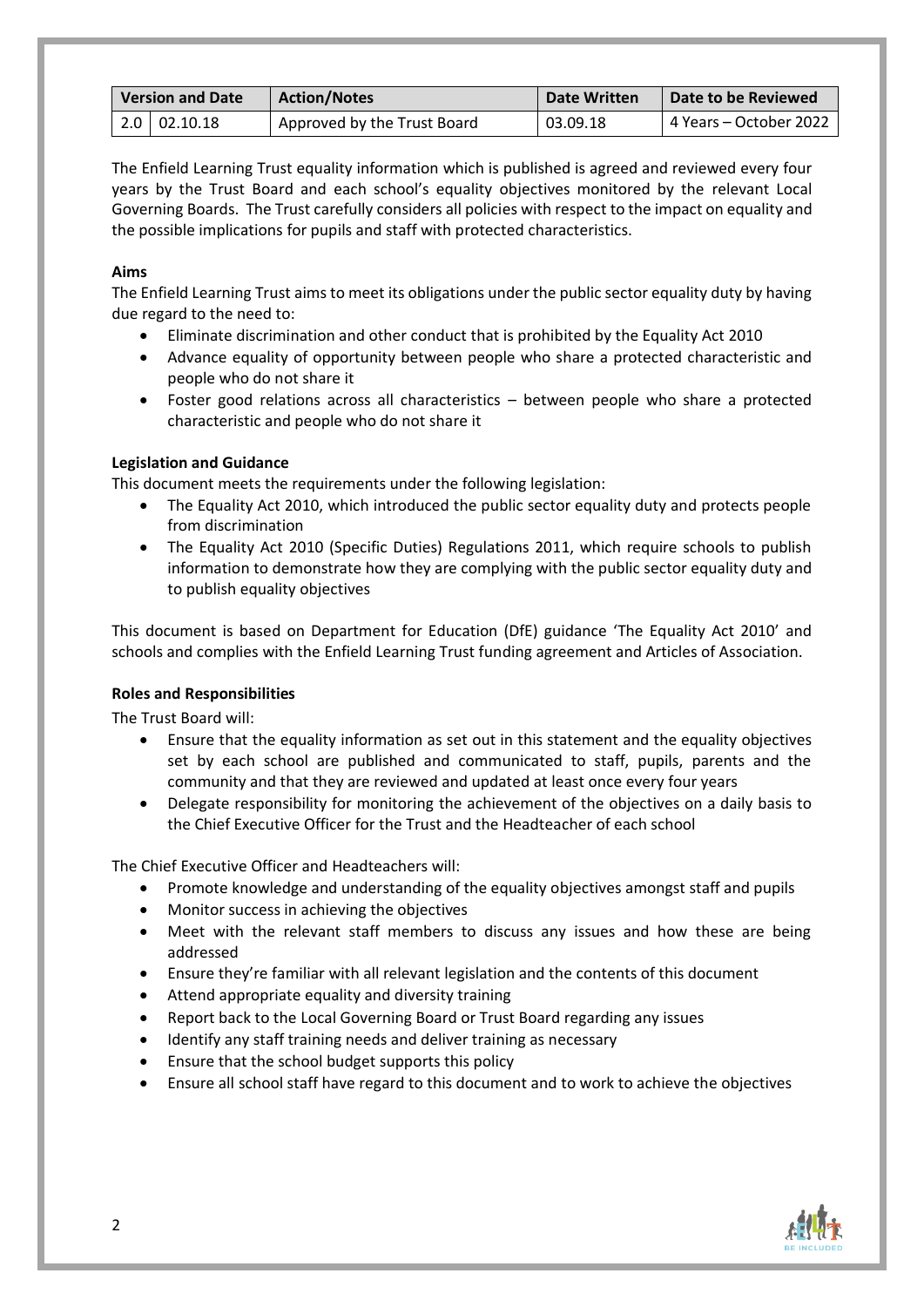| <b>Version and Date</b> |                    | <b>Action/Notes</b>         | Date Written | Date to be Reviewed    |
|-------------------------|--------------------|-----------------------------|--------------|------------------------|
|                         | $2.0 \pm 02.10.18$ | Approved by the Trust Board | 03.09.18     | 4 Years – October 2022 |

The Enfield Learning Trust equality information which is published is agreed and reviewed every four years by the Trust Board and each school's equality objectives monitored by the relevant Local Governing Boards. The Trust carefully considers all policies with respect to the impact on equality and the possible implications for pupils and staff with protected characteristics.

# **Aims**

The Enfield Learning Trust aims to meet its obligations under the public sector equality duty by having due regard to the need to:

- Eliminate discrimination and other conduct that is prohibited by the Equality Act 2010
- Advance equality of opportunity between people who share a protected characteristic and people who do not share it
- Foster good relations across all characteristics between people who share a protected characteristic and people who do not share it

### **Legislation and Guidance**

This document meets the requirements under the following legislation:

- The Equality Act 2010, which introduced the public sector equality duty and protects people from discrimination
- The Equality Act 2010 (Specific Duties) Regulations 2011, which require schools to publish information to demonstrate how they are complying with the public sector equality duty and to publish equality objectives

This document is based on Department for Education (DfE) guidance 'The Equality Act 2010' and schools and complies with the Enfield Learning Trust funding agreement and Articles of Association.

### **Roles and Responsibilities**

The Trust Board will:

- Ensure that the equality information as set out in this statement and the equality objectives set by each school are published and communicated to staff, pupils, parents and the community and that they are reviewed and updated at least once every four years
- Delegate responsibility for monitoring the achievement of the objectives on a daily basis to the Chief Executive Officer for the Trust and the Headteacher of each school

The Chief Executive Officer and Headteachers will:

- Promote knowledge and understanding of the equality objectives amongst staff and pupils
- Monitor success in achieving the objectives
- Meet with the relevant staff members to discuss any issues and how these are being addressed
- Ensure they're familiar with all relevant legislation and the contents of this document
- Attend appropriate equality and diversity training
- Report back to the Local Governing Board or Trust Board regarding any issues
- Identify any staff training needs and deliver training as necessary
- Ensure that the school budget supports this policy
- Ensure all school staff have regard to this document and to work to achieve the objectives